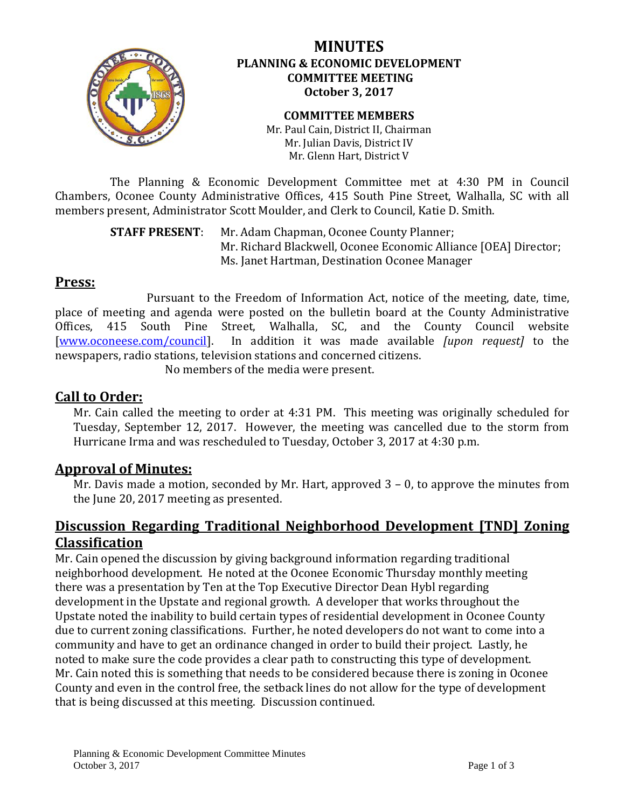

## **MINUTES PLANNING & ECONOMIC DEVELOPMENT COMMITTEE MEETING October 3, 2017**

#### **COMMITTEE MEMBERS** Mr. Paul Cain, District II, Chairman Mr. Julian Davis, District IV Mr. Glenn Hart, District V

The Planning & Economic Development Committee met at 4:30 PM in Council Chambers, Oconee County Administrative Offices, 415 South Pine Street, Walhalla, SC with all members present, Administrator Scott Moulder, and Clerk to Council, Katie D. Smith.

> **STAFF PRESENT**: Mr. Adam Chapman, Oconee County Planner; Mr. Richard Blackwell, Oconee Economic Alliance [OEA] Director; Ms. Janet Hartman, Destination Oconee Manager

# **Press:**

Pursuant to the Freedom of Information Act, notice of the meeting, date, time, place of meeting and agenda were posted on the bulletin board at the County Administrative<br>Offices. 415 South Pine Street. Walhalla. SC. and the County Council website South Pine Street, Walhalla, SC, and the County Council website [\[www.oconeese.com/council\]](http://www.oconeese.com/council). In addition it was made available *[upon request]* to the newspapers, radio stations, television stations and concerned citizens.

No members of the media were present.

# **Call to Order:**

Mr. Cain called the meeting to order at 4:31 PM. This meeting was originally scheduled for Tuesday, September 12, 2017. However, the meeting was cancelled due to the storm from Hurricane Irma and was rescheduled to Tuesday, October 3, 2017 at 4:30 p.m.

# **Approval of Minutes:**

Mr. Davis made a motion, seconded by Mr. Hart, approved 3 – 0, to approve the minutes from the June 20, 2017 meeting as presented.

# **Discussion Regarding Traditional Neighborhood Development [TND] Zoning Classification**

Mr. Cain opened the discussion by giving background information regarding traditional neighborhood development. He noted at the Oconee Economic Thursday monthly meeting there was a presentation by Ten at the Top Executive Director Dean Hybl regarding development in the Upstate and regional growth. A developer that works throughout the Upstate noted the inability to build certain types of residential development in Oconee County due to current zoning classifications. Further, he noted developers do not want to come into a community and have to get an ordinance changed in order to build their project. Lastly, he noted to make sure the code provides a clear path to constructing this type of development. Mr. Cain noted this is something that needs to be considered because there is zoning in Oconee County and even in the control free, the setback lines do not allow for the type of development that is being discussed at this meeting. Discussion continued.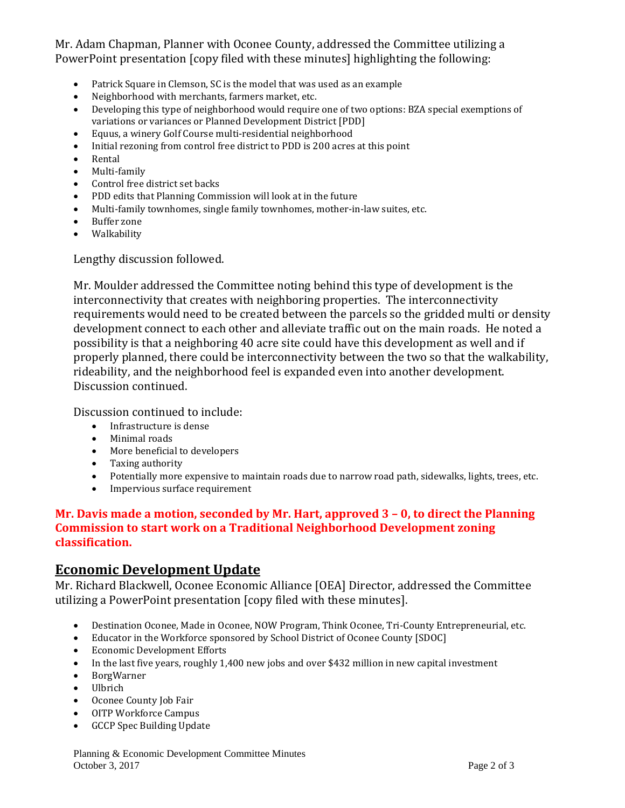### Mr. Adam Chapman, Planner with Oconee County, addressed the Committee utilizing a PowerPoint presentation [copy filed with these minutes] highlighting the following:

- Patrick Square in Clemson, SC is the model that was used as an example
- Neighborhood with merchants, farmers market, etc.<br>• Developing this type of neighborhood would require
- Developing this type of neighborhood would require one of two options: BZA special exemptions of variations or variances or Planned Development District [PDD]
- Equus, a winery Golf Course multi-residential neighborhood
- Initial rezoning from control free district to PDD is 200 acres at this point
- Rental
- Multi-family
- Control free district set backs
- PDD edits that Planning Commission will look at in the future
- Multi-family townhomes, single family townhomes, mother-in-law suites, etc.
- Buffer zone
- Walkability

Lengthy discussion followed.

Mr. Moulder addressed the Committee noting behind this type of development is the interconnectivity that creates with neighboring properties. The interconnectivity requirements would need to be created between the parcels so the gridded multi or density development connect to each other and alleviate traffic out on the main roads. He noted a possibility is that a neighboring 40 acre site could have this development as well and if properly planned, there could be interconnectivity between the two so that the walkability, rideability, and the neighborhood feel is expanded even into another development. Discussion continued.

Discussion continued to include:

- Infrastructure is dense
- Minimal roads
- More beneficial to developers
- Taxing authority
- Potentially more expensive to maintain roads due to narrow road path, sidewalks, lights, trees, etc.
- Impervious surface requirement

#### **Mr. Davis made a motion, seconded by Mr. Hart, approved 3 – 0, to direct the Planning Commission to start work on a Traditional Neighborhood Development zoning classification.**

## **Economic Development Update**

Mr. Richard Blackwell, Oconee Economic Alliance [OEA] Director, addressed the Committee utilizing a PowerPoint presentation [copy filed with these minutes].

- Destination Oconee, Made in Oconee, NOW Program, Think Oconee, Tri-County Entrepreneurial, etc.
- Educator in the Workforce sponsored by School District of Oconee County [SDOC]
- Economic Development Efforts
- In the last five years, roughly 1,400 new jobs and over \$432 million in new capital investment
- BorgWarner
- Ulbrich
- Oconee County Job Fair
- OITP Workforce Campus<br>• GCCP Spec Building Update
- GCCP Spec Building Update